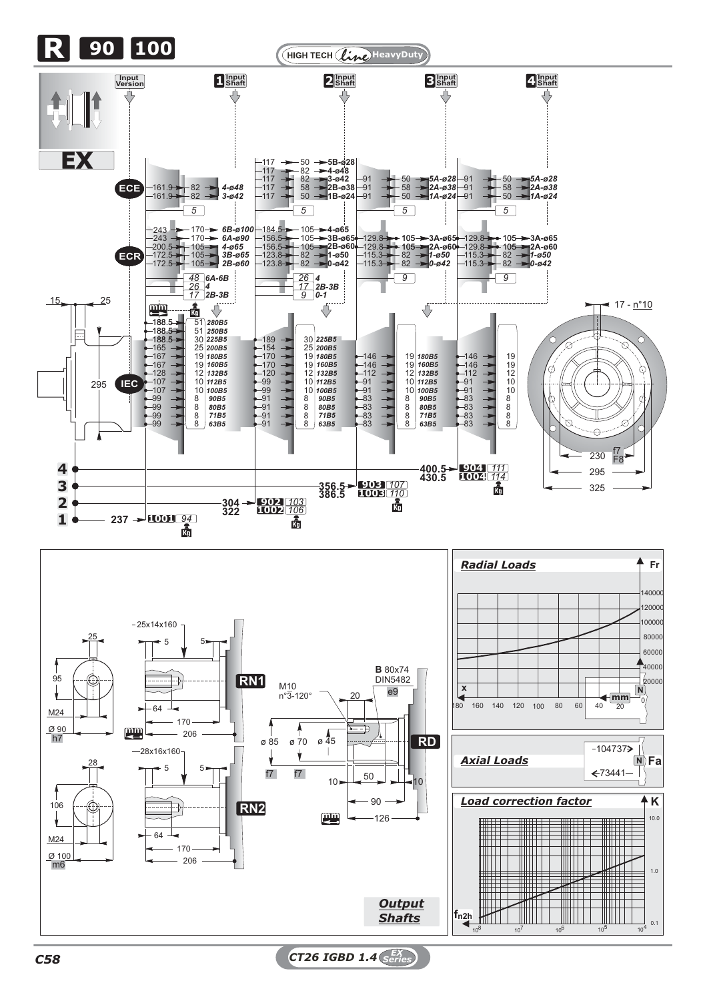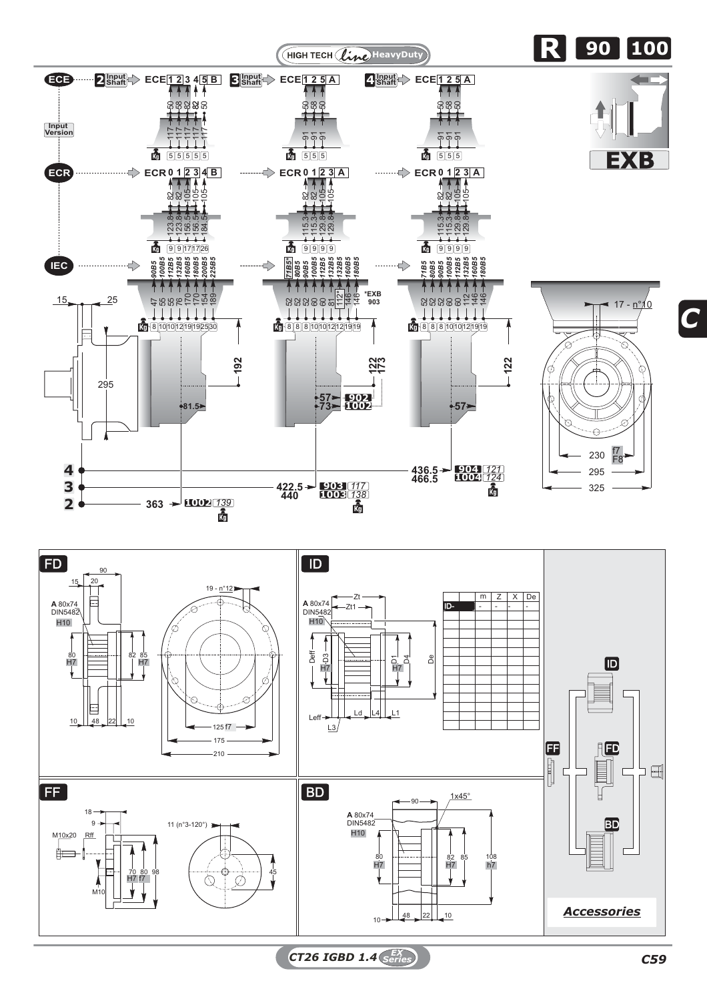



*CT26 IGBD 1.4 C59 EX Series*

*C*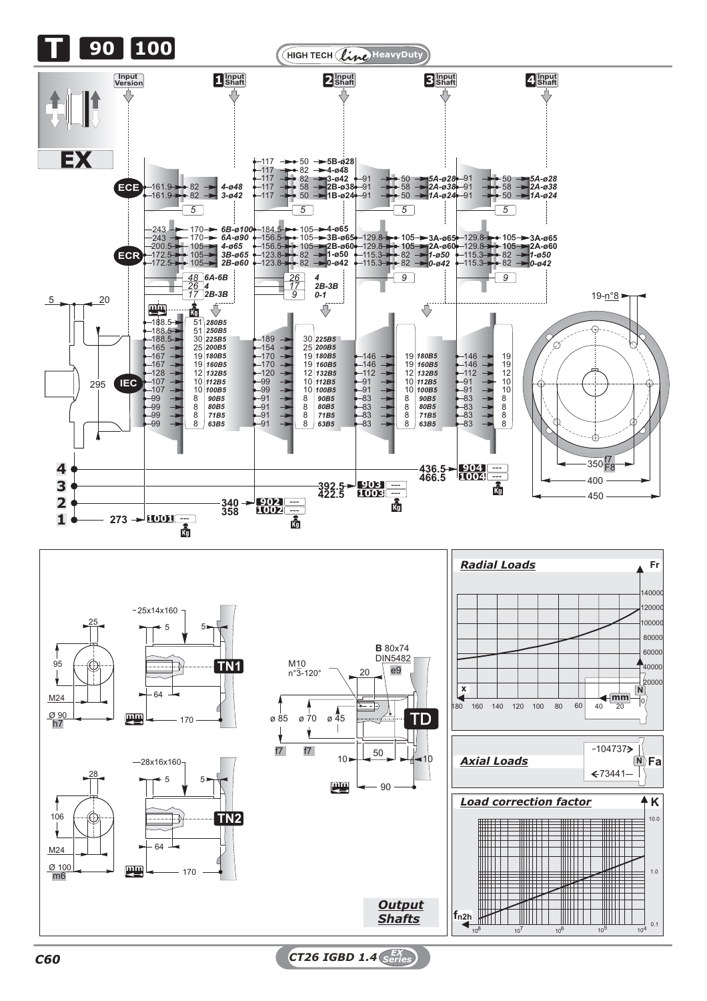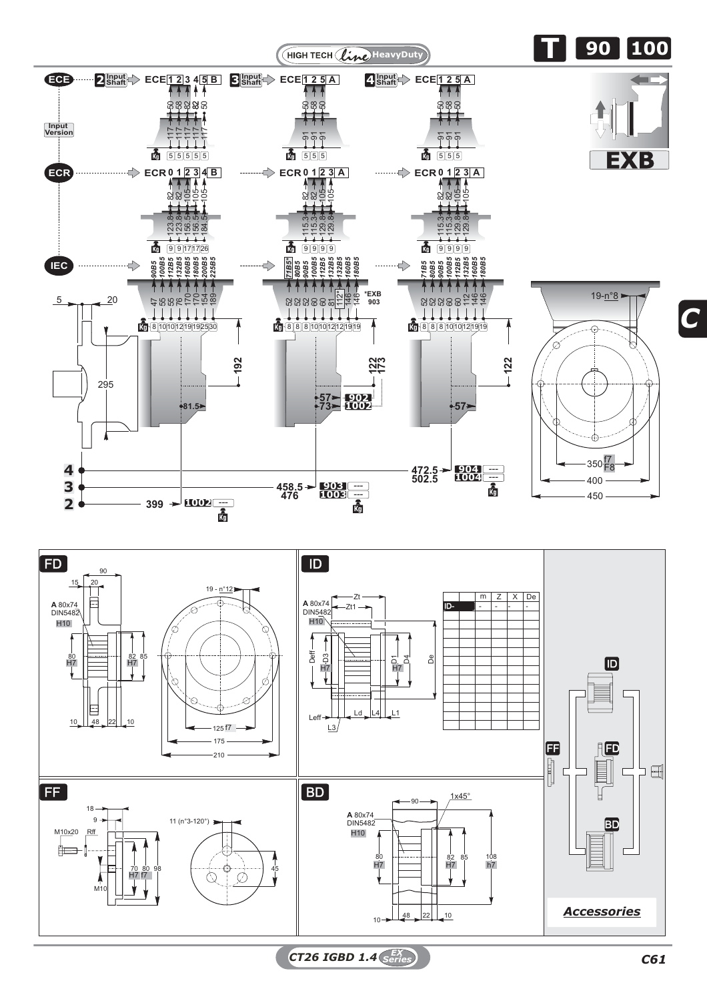



*CT26 IGBD 1.4 C61 EX Series*

*C*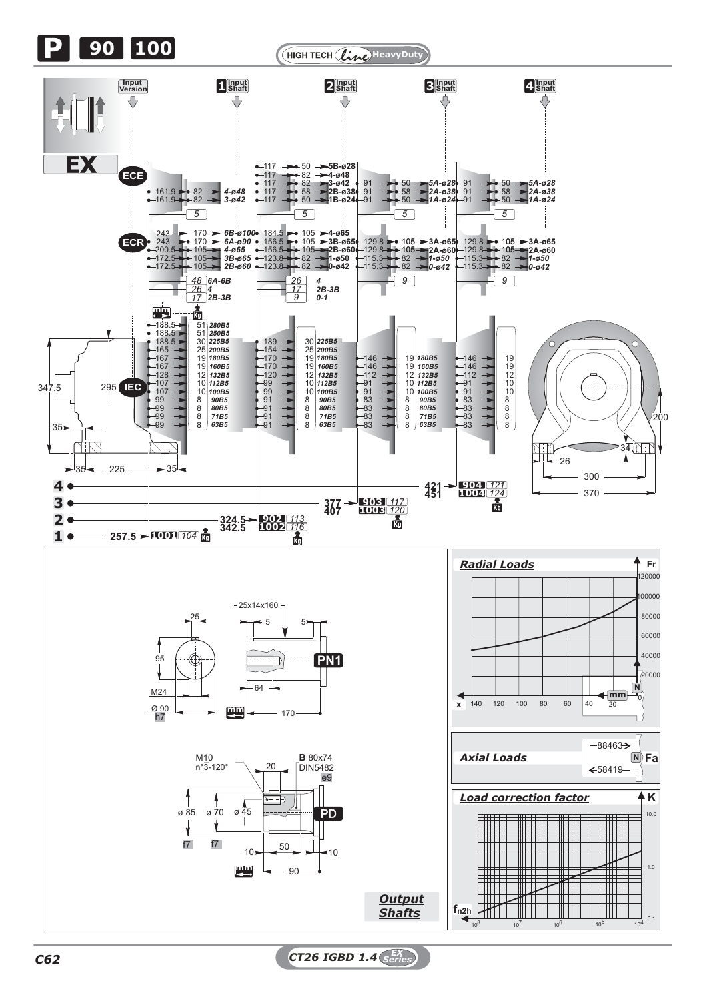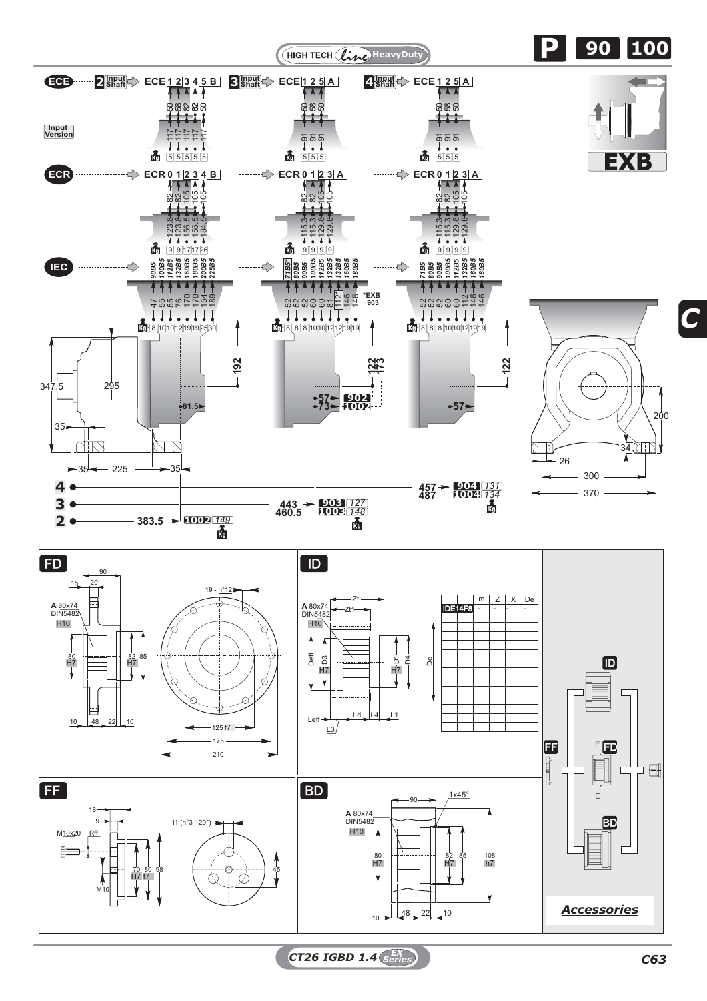

*C*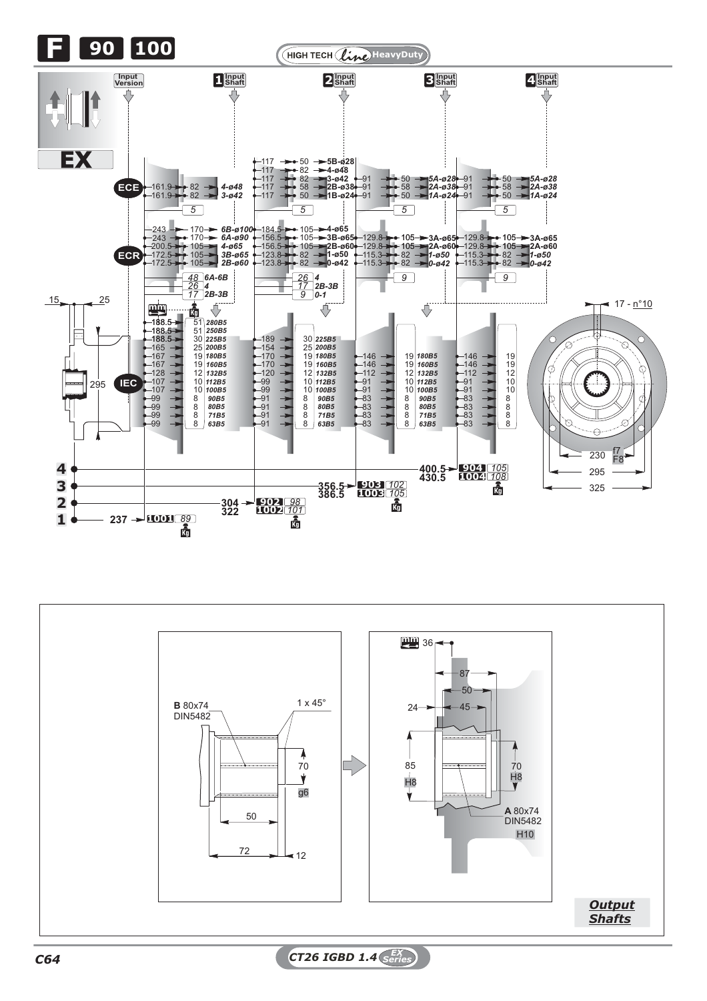



*C64 CT26 IGBD 1.4 EX Series*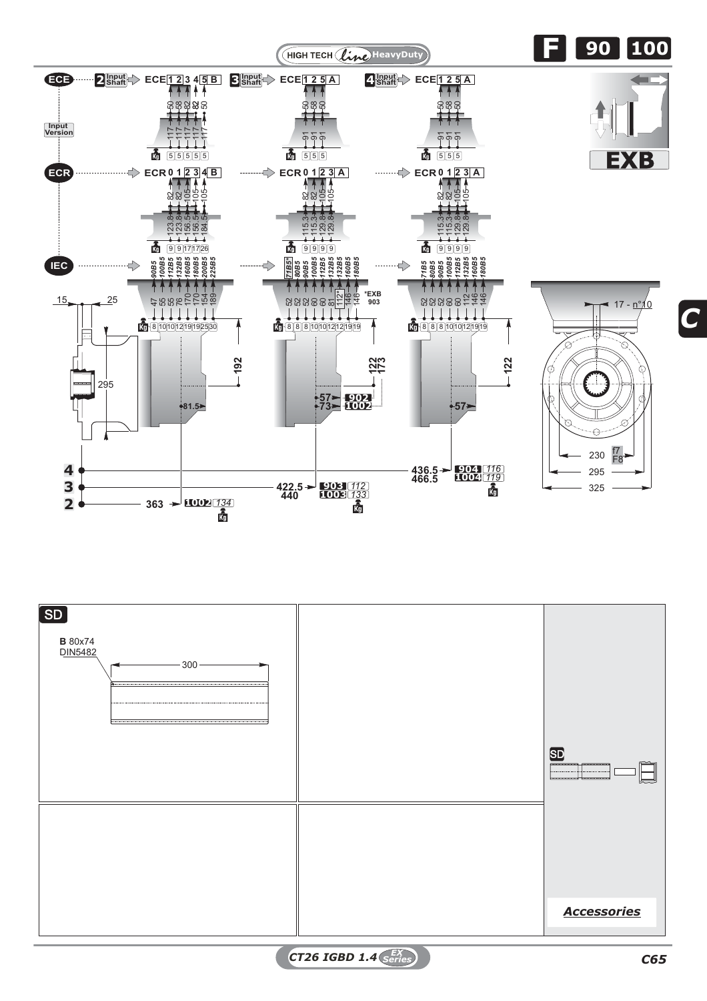



*CT26 IGBD 1.4 C65 EX Series*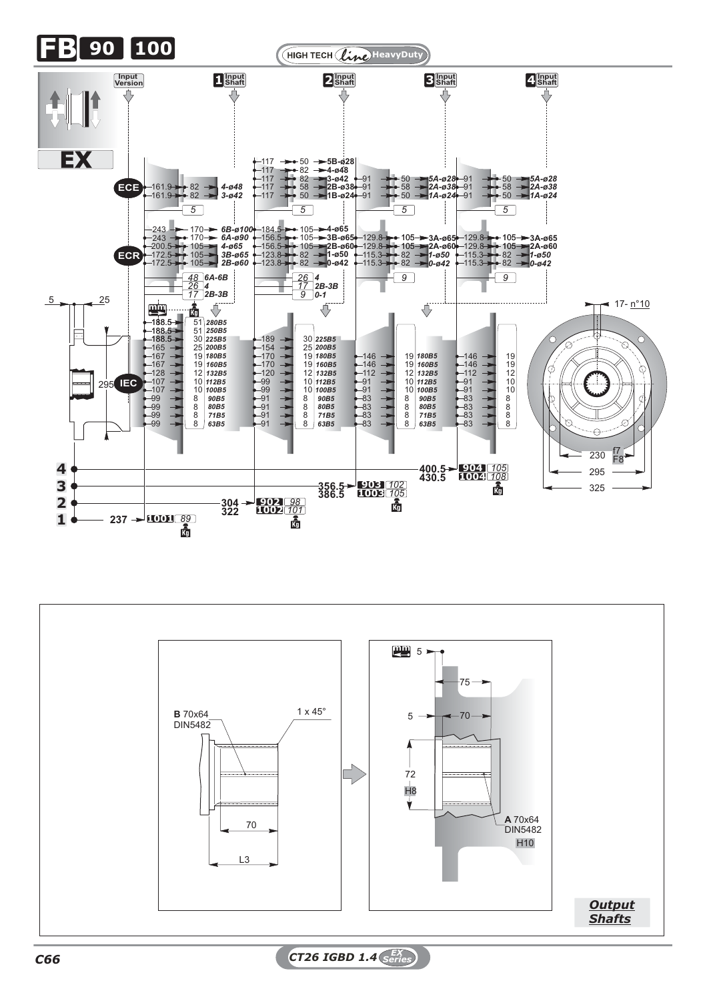



*C66 CT26 IGBD 1.4 EX Series*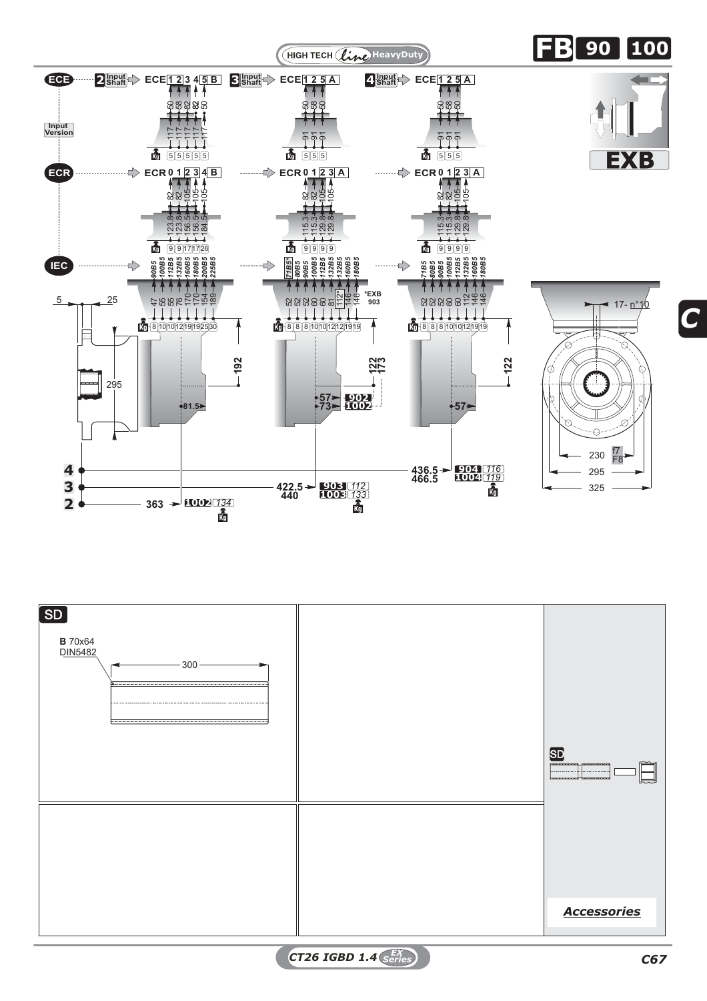



*CT26 IGBD 1.4 C67 EX Series*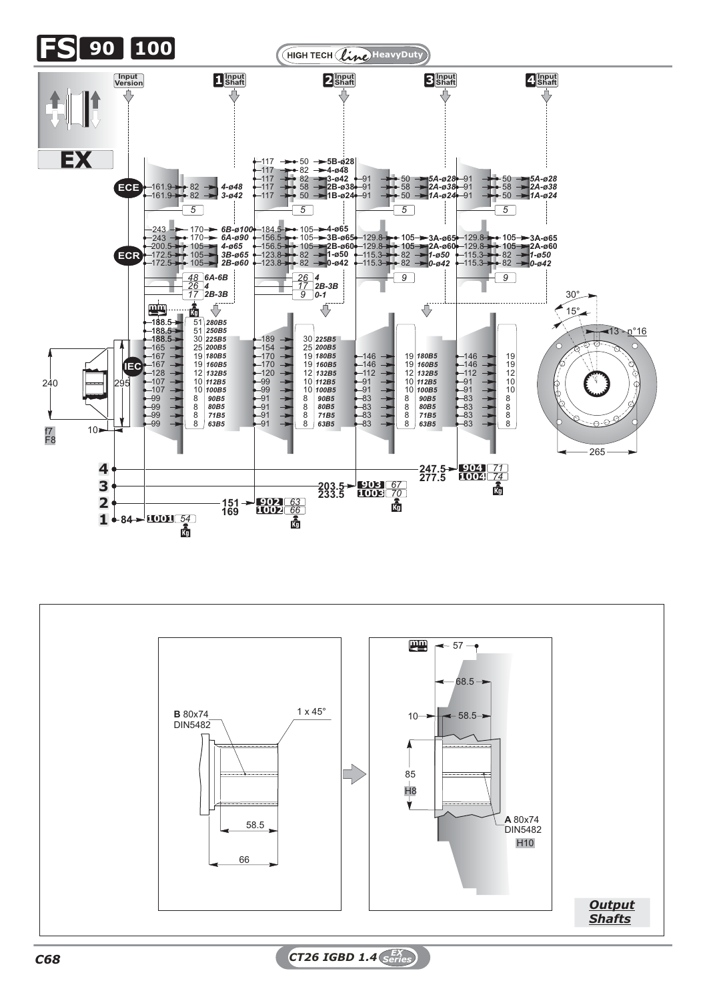

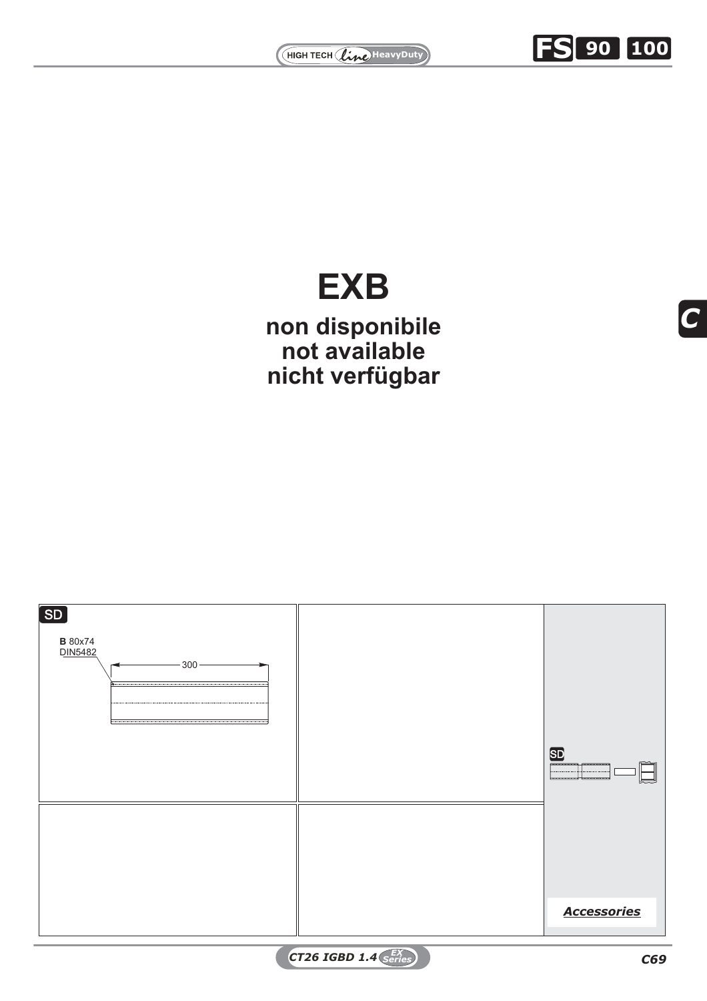

## *100B5 112B5 132B5 160B5 180B5 132B5* 112\* **\*EXB 903 EXB**

 $\frac{1}{2}$ <br>bar<br>bar exte<br>on disponibile **122 173 nicht verfügbarnon disponibile not available**

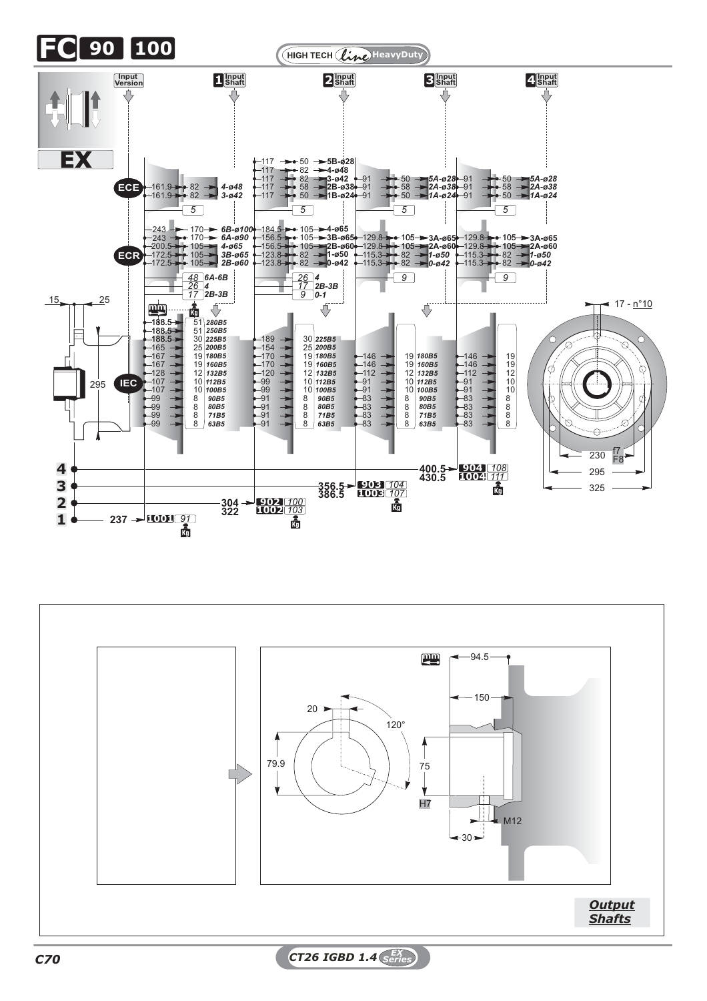

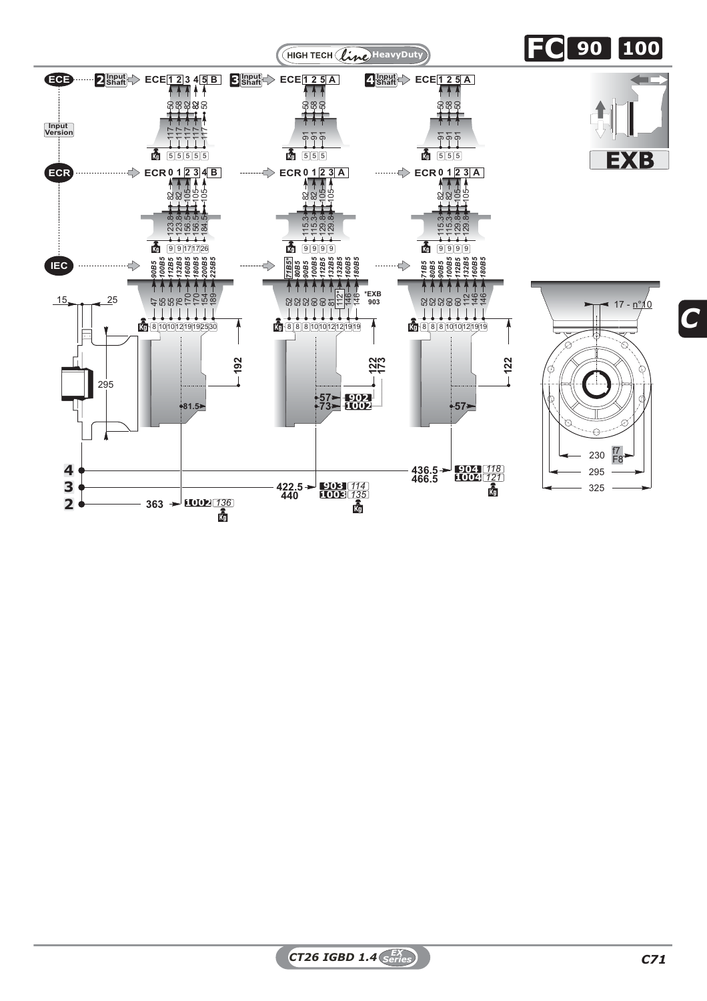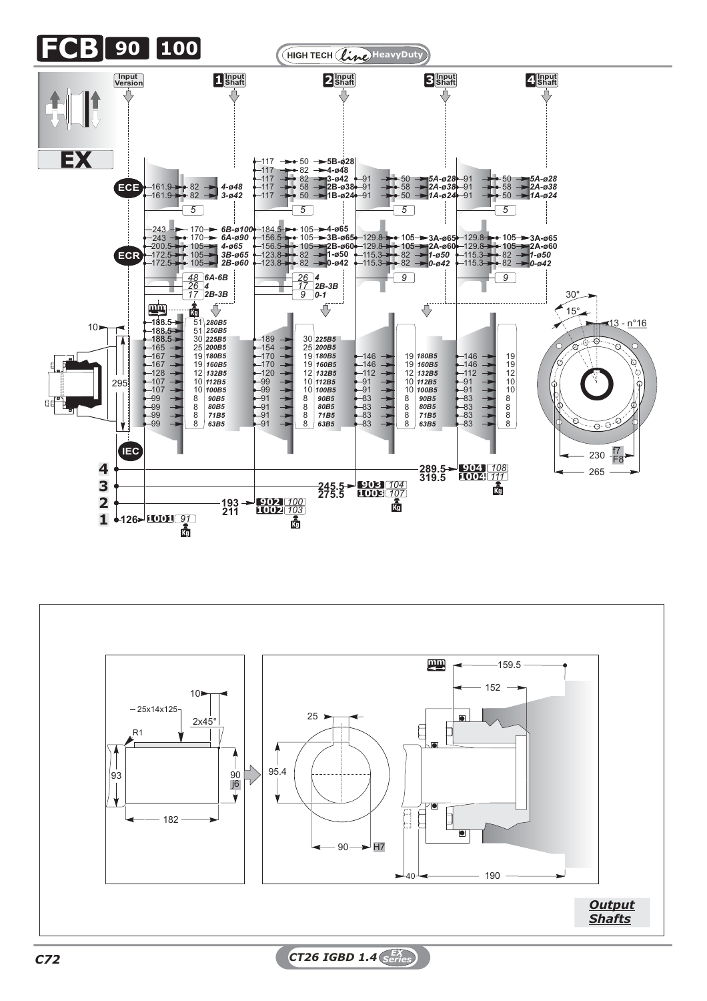

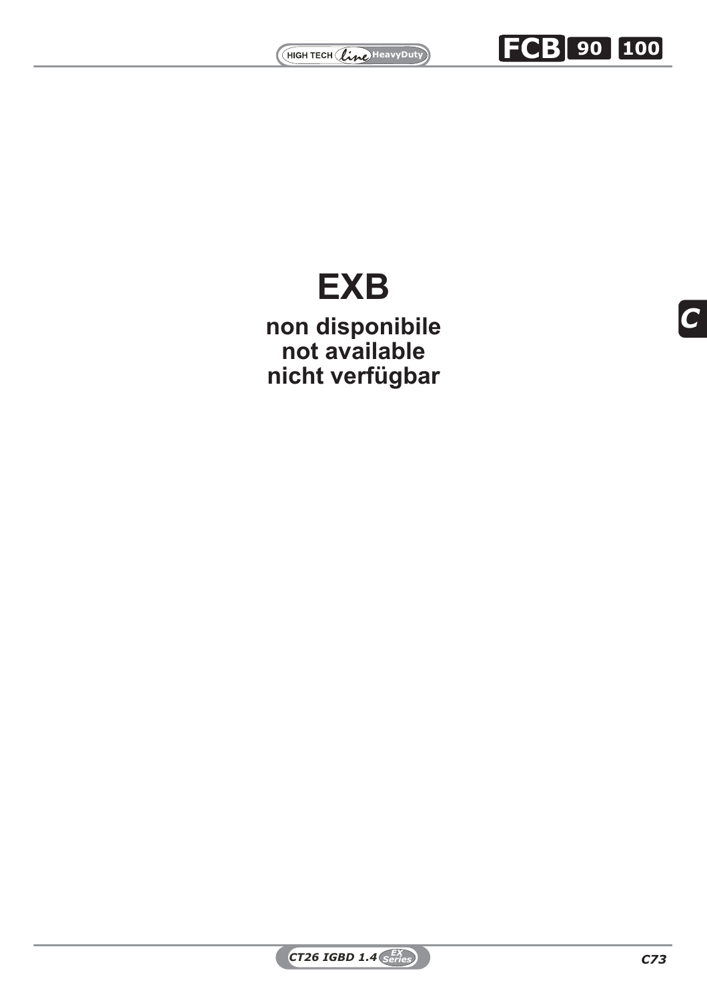



*C*

## *100B5 112B5 132B5 160B5 180B5 132B5* 112\* **\*EXB 903 EXB**

 $\mathbf{\hat{e}}$ <br>bar<br>**b EXPLORED STATES SERVICES 122 173 nicht verfügbarnot available**

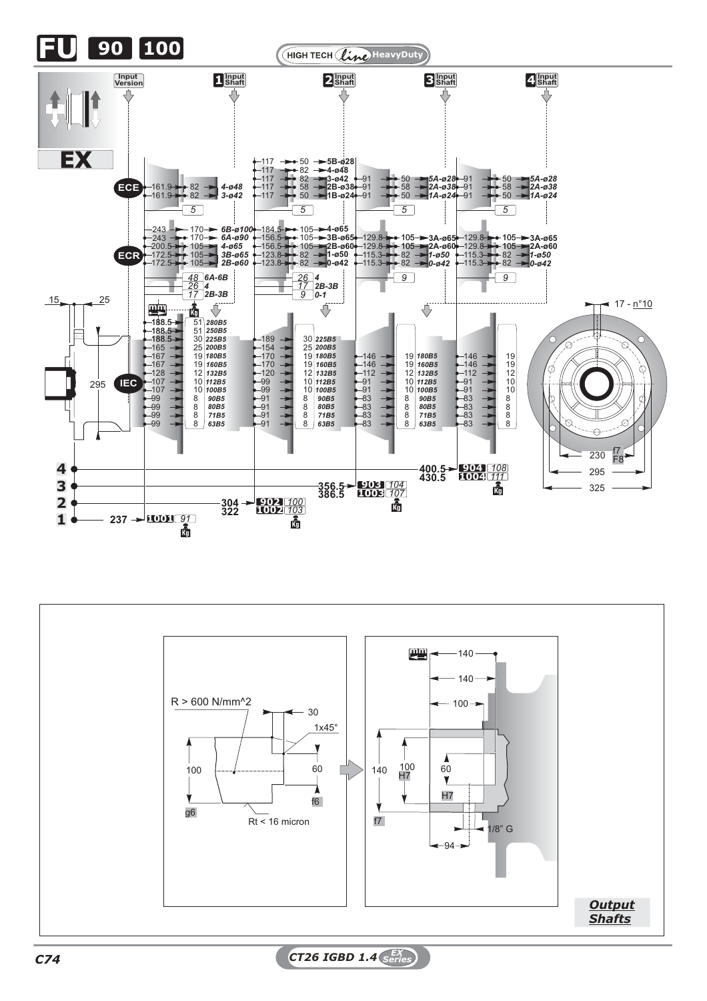



*C74 CT26 IGBD 1.4 EX Series*